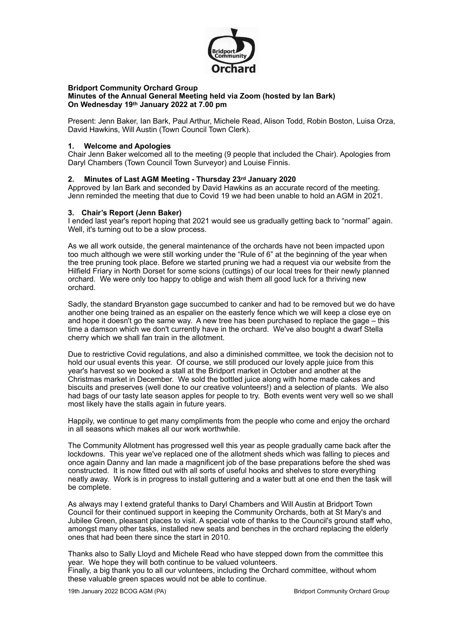

#### **Bridport Community Orchard Group Minutes of the Annual General Meeting held via Zoom (hosted by Ian Bark) On Wednesday 19th January 2022 at 7.00 pm**

Present: Jenn Baker, Ian Bark, Paul Arthur, Michele Read, Alison Todd, Robin Boston, Luisa Orza, David Hawkins, Will Austin (Town Council Town Clerk).

### **1. Welcome and Apologies**

Chair Jenn Baker welcomed all to the meeting (9 people that included the Chair). Apologies from Daryl Chambers (Town Council Town Surveyor) and Louise Finnis.

## **2. Minutes of Last AGM Meeting - Thursday 23rd January 2020**

Approved by Ian Bark and seconded by David Hawkins as an accurate record of the meeting. Jenn reminded the meeting that due to Covid 19 we had been unable to hold an AGM in 2021.

### **3. Chair's Report (Jenn Baker)**

I ended last year's report hoping that 2021 would see us gradually getting back to "normal" again. Well, it's turning out to be a slow process.

As we all work outside, the general maintenance of the orchards have not been impacted upon too much although we were still working under the "Rule of 6" at the beginning of the year when the tree pruning took place. Before we started pruning we had a request via our website from the Hilfield Friary in North Dorset for some scions (cuttings) of our local trees for their newly planned orchard. We were only too happy to oblige and wish them all good luck for a thriving new orchard.

Sadly, the standard Bryanston gage succumbed to canker and had to be removed but we do have another one being trained as an espalier on the easterly fence which we will keep a close eye on and hope it doesn't go the same way. A new tree has been purchased to replace the gage – this time a damson which we don't currently have in the orchard. We've also bought a dwarf Stella cherry which we shall fan train in the allotment.

Due to restrictive Covid regulations, and also a diminished committee, we took the decision not to hold our usual events this year. Of course, we still produced our lovely apple juice from this year's harvest so we booked a stall at the Bridport market in October and another at the Christmas market in December. We sold the bottled juice along with home made cakes and biscuits and preserves (well done to our creative volunteers!) and a selection of plants. We also had bags of our tasty late season apples for people to try. Both events went very well so we shall most likely have the stalls again in future years.

Happily, we continue to get many compliments from the people who come and enjoy the orchard in all seasons which makes all our work worthwhile.

The Community Allotment has progressed well this year as people gradually came back after the lockdowns. This year we've replaced one of the allotment sheds which was falling to pieces and once again Danny and Ian made a magnificent job of the base preparations before the shed was constructed. It is now fitted out with all sorts of useful hooks and shelves to store everything neatly away. Work is in progress to install guttering and a water butt at one end then the task will be complete.

As always may I extend grateful thanks to Daryl Chambers and Will Austin at Bridport Town Council for their continued support in keeping the Community Orchards, both at St Mary's and Jubilee Green, pleasant places to visit. A special vote of thanks to the Council's ground staff who, amongst many other tasks, installed new seats and benches in the orchard replacing the elderly ones that had been there since the start in 2010.

Thanks also to Sally Lloyd and Michele Read who have stepped down from the committee this year. We hope they will both continue to be valued volunteers. Finally, a big thank you to all our volunteers, including the Orchard committee, without whom these valuable green spaces would not be able to continue.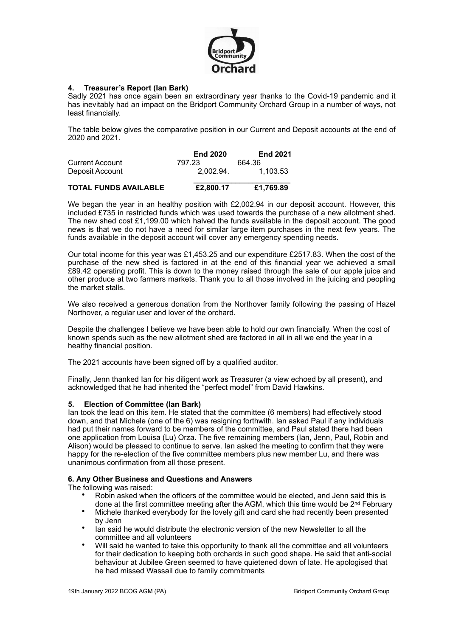

# **4. Treasurer's Report (Ian Bark)**

Sadly 2021 has once again been an extraordinary year thanks to the Covid-19 pandemic and it has inevitably had an impact on the Bridport Community Orchard Group in a number of ways, not least financially.

The table below gives the comparative position in our Current and Deposit accounts at the end of 2020 and 2021.

|                              | <b>End 2020</b> | <b>End 2021</b> |
|------------------------------|-----------------|-----------------|
| Current Account              | 797.23          | 664.36          |
| Deposit Account              | 2.002.94.       | 1.103.53        |
| <b>TOTAL FUNDS AVAILABLE</b> | £2,800.17       | £1,769.89       |

We began the year in an healthy position with £2,002.94 in our deposit account. However, this included £735 in restricted funds which was used towards the purchase of a new allotment shed. The new shed cost £1,199.00 which halved the funds available in the deposit account. The good news is that we do not have a need for similar large item purchases in the next few years. The funds available in the deposit account will cover any emergency spending needs.

Our total income for this year was £1,453.25 and our expenditure £2517.83. When the cost of the purchase of the new shed is factored in at the end of this financial year we achieved a small £89.42 operating profit. This is down to the money raised through the sale of our apple juice and other produce at two farmers markets. Thank you to all those involved in the juicing and peopling the market stalls.

We also received a generous donation from the Northover family following the passing of Hazel Northover, a regular user and lover of the orchard.

Despite the challenges I believe we have been able to hold our own financially. When the cost of known spends such as the new allotment shed are factored in all in all we end the year in a healthy financial position.

The 2021 accounts have been signed off by a qualified auditor.

Finally, Jenn thanked Ian for his diligent work as Treasurer (a view echoed by all present), and acknowledged that he had inherited the "perfect model" from David Hawkins.

### **5. Election of Committee (Ian Bark)**

Ian took the lead on this item. He stated that the committee (6 members) had effectively stood down, and that Michele (one of the 6) was resigning forthwith. Ian asked Paul if any individuals had put their names forward to be members of the committee, and Paul stated there had been one application from Louisa (Lu) Orza. The five remaining members (Ian, Jenn, Paul, Robin and Alison) would be pleased to continue to serve. Ian asked the meeting to confirm that they were happy for the re-election of the five committee members plus new member Lu, and there was unanimous confirmation from all those present.

### **6. Any Other Business and Questions and Answers**

The following was raised:

- Robin asked when the officers of the committee would be elected, and Jenn said this is done at the first committee meeting after the AGM, which this time would be 2<sup>nd</sup> February
- Michele thanked everybody for the lovely gift and card she had recently been presented by Jenn
- Ian said he would distribute the electronic version of the new Newsletter to all the committee and all volunteers
- Will said he wanted to take this opportunity to thank all the committee and all volunteers for their dedication to keeping both orchards in such good shape. He said that anti-social behaviour at Jubilee Green seemed to have quietened down of late. He apologised that he had missed Wassail due to family commitments